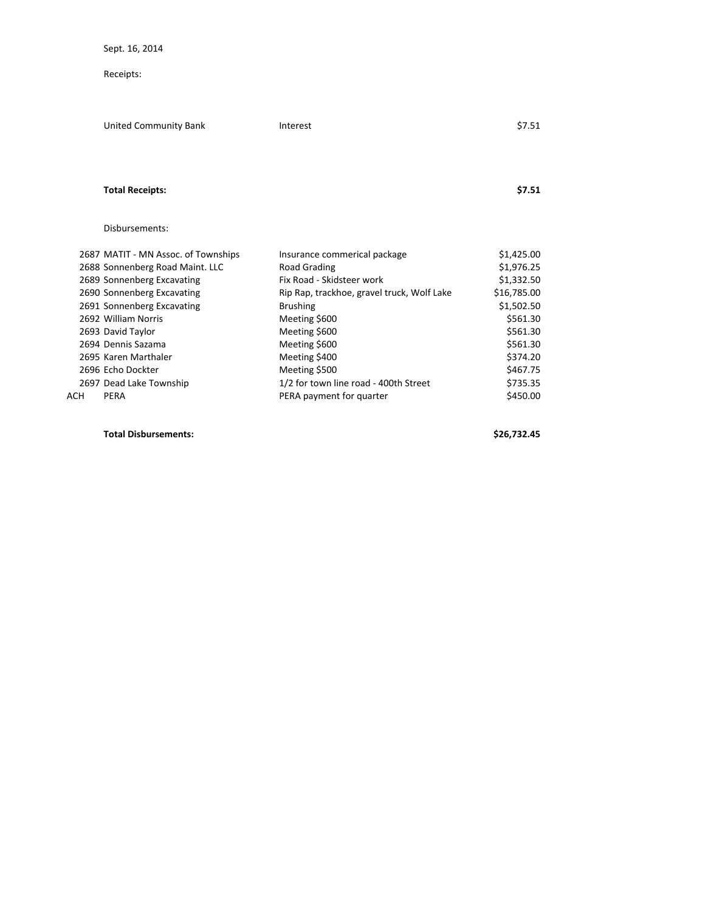Sept. 16, 2014

Receipts:

|            | United Community Bank               | Interest                                   | \$7.51      |
|------------|-------------------------------------|--------------------------------------------|-------------|
|            |                                     |                                            |             |
|            | <b>Total Receipts:</b>              |                                            | \$7.51      |
|            | Disbursements:                      |                                            |             |
|            | 2687 MATIT - MN Assoc. of Townships | Insurance commerical package               | \$1,425.00  |
|            | 2688 Sonnenberg Road Maint. LLC     | Road Grading                               | \$1,976.25  |
|            | 2689 Sonnenberg Excavating          | Fix Road - Skidsteer work                  | \$1,332.50  |
|            | 2690 Sonnenberg Excavating          | Rip Rap, trackhoe, gravel truck, Wolf Lake | \$16,785.00 |
|            | 2691 Sonnenberg Excavating          | <b>Brushing</b>                            | \$1,502.50  |
|            | 2692 William Norris                 | Meeting \$600                              | \$561.30    |
|            | 2693 David Taylor                   | Meeting \$600                              | \$561.30    |
|            | 2694 Dennis Sazama                  | Meeting \$600                              | \$561.30    |
|            | 2695 Karen Marthaler                | Meeting \$400                              | \$374.20    |
|            | 2696 Echo Dockter                   | Meeting \$500                              | \$467.75    |
|            | 2697 Dead Lake Township             | 1/2 for town line road - 400th Street      | \$735.35    |
| <b>ACH</b> | PERA                                | PERA payment for quarter                   | \$450.00    |

**Total Disbursements: \$26,732.45**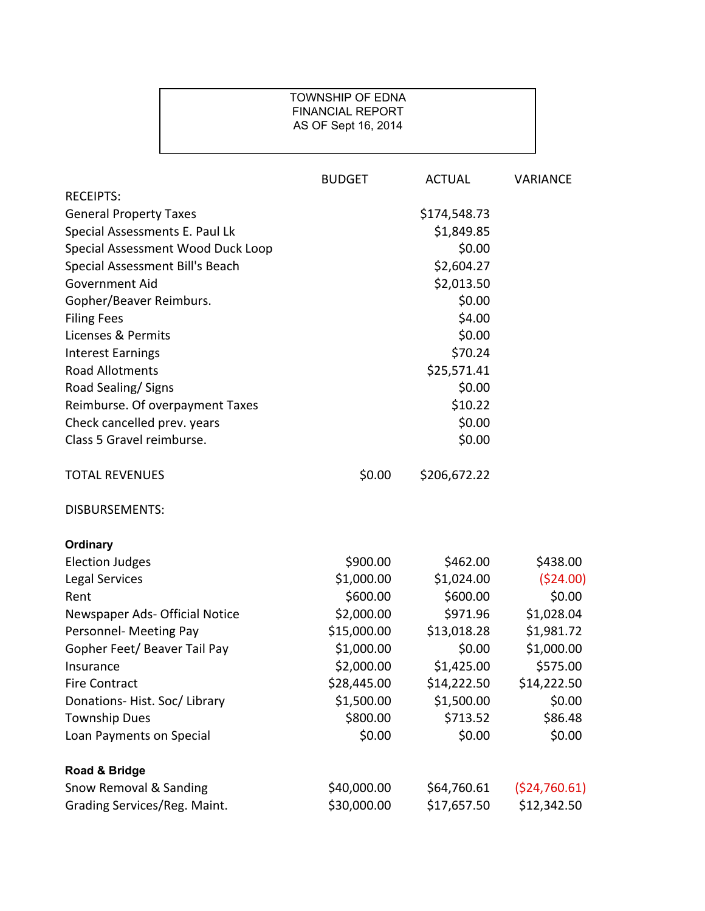## TOWNSHIP OF EDNA FINANCIAL REPORT AS OF Sept 16, 2014

|                                   | <b>BUDGET</b> | <b>ACTUAL</b> | <b>VARIANCE</b> |
|-----------------------------------|---------------|---------------|-----------------|
| <b>RECEIPTS:</b>                  |               |               |                 |
| <b>General Property Taxes</b>     |               | \$174,548.73  |                 |
| Special Assessments E. Paul Lk    |               | \$1,849.85    |                 |
| Special Assessment Wood Duck Loop |               | \$0.00        |                 |
| Special Assessment Bill's Beach   |               | \$2,604.27    |                 |
| Government Aid                    |               | \$2,013.50    |                 |
| Gopher/Beaver Reimburs.           |               | \$0.00        |                 |
| <b>Filing Fees</b>                |               | \$4.00        |                 |
| Licenses & Permits                |               | \$0.00        |                 |
| <b>Interest Earnings</b>          |               | \$70.24       |                 |
| <b>Road Allotments</b>            |               | \$25,571.41   |                 |
| Road Sealing/Signs                |               | \$0.00        |                 |
| Reimburse. Of overpayment Taxes   |               | \$10.22       |                 |
| Check cancelled prev. years       |               | \$0.00        |                 |
| Class 5 Gravel reimburse.         |               | \$0.00        |                 |
| <b>TOTAL REVENUES</b>             | \$0.00        | \$206,672.22  |                 |
| <b>DISBURSEMENTS:</b>             |               |               |                 |
| <b>Ordinary</b>                   |               |               |                 |
| <b>Election Judges</b>            | \$900.00      | \$462.00      | \$438.00        |
| Legal Services                    | \$1,000.00    | \$1,024.00    | ( \$24.00)      |
| Rent                              | \$600.00      | \$600.00      | \$0.00          |
| Newspaper Ads- Official Notice    | \$2,000.00    | \$971.96      | \$1,028.04      |
| Personnel- Meeting Pay            | \$15,000.00   | \$13,018.28   | \$1,981.72      |
| Gopher Feet/ Beaver Tail Pay      | \$1,000.00    | \$0.00        | \$1,000.00      |
| Insurance                         | \$2,000.00    | \$1,425.00    | \$575.00        |
| <b>Fire Contract</b>              | \$28,445.00   | \$14,222.50   | \$14,222.50     |
| Donations-Hist. Soc/Library       | \$1,500.00    | \$1,500.00    | \$0.00          |
| <b>Township Dues</b>              | \$800.00      | \$713.52      | \$86.48         |
| Loan Payments on Special          | \$0.00        | \$0.00        | \$0.00          |
| Road & Bridge                     |               |               |                 |
| Snow Removal & Sanding            | \$40,000.00   | \$64,760.61   | (524, 760.61)   |
| Grading Services/Reg. Maint.      | \$30,000.00   | \$17,657.50   | \$12,342.50     |